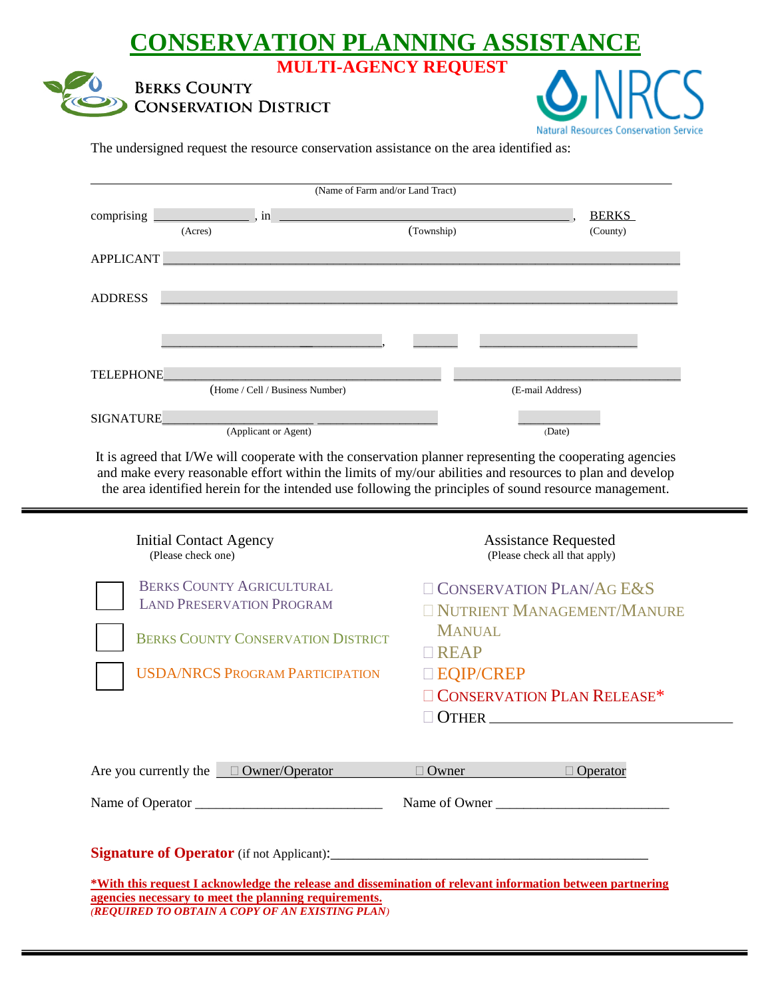## **CONSERVATION PLANNING ASSISTANCEMULTI-AGENCY REQUEST**





The undersigned request the resource conservation assistance on the area identified as:

| (Name of Farm and/or Land Tract) |                                 |  |            |                  |                          |
|----------------------------------|---------------------------------|--|------------|------------------|--------------------------|
| comprising                       | , in<br>(Acres)                 |  | (Township) |                  | <b>BERKS</b><br>(County) |
| <b>APPLICANT</b>                 |                                 |  |            |                  |                          |
| <b>ADDRESS</b>                   |                                 |  |            |                  |                          |
|                                  |                                 |  |            |                  |                          |
| <b>TELEPHONE</b>                 | (Home / Cell / Business Number) |  |            | (E-mail Address) |                          |
| <b>SIGNATURE</b>                 | (Applicant or Agent)            |  |            | (Date)           |                          |

It is agreed that I/We will cooperate with the conservation planner representing the cooperating agencies and make every reasonable effort within the limits of my/our abilities and resources to plan and develop the area identified herein for the intended use following the principles of sound resource management.

| <b>Initial Contact Agency</b><br>(Please check one)                                                                                                                | <b>Assistance Requested</b><br>(Please check all that apply)  |  |  |  |  |
|--------------------------------------------------------------------------------------------------------------------------------------------------------------------|---------------------------------------------------------------|--|--|--|--|
| <b>BERKS COUNTY AGRICULTURAL</b><br><b>LAND PRESERVATION PROGRAM</b>                                                                                               | $\Box$ CONSERVATION PLAN/AG E&S<br>NUTRIENT MANAGEMENT/MANURE |  |  |  |  |
| <b>BERKS COUNTY CONSERVATION DISTRICT</b>                                                                                                                          | <b>MANUAL</b><br>$\Box$ REAP                                  |  |  |  |  |
| <b>USDA/NRCS PROGRAM PARTICIPATION</b>                                                                                                                             | □ EQIP/CREP                                                   |  |  |  |  |
|                                                                                                                                                                    | <b>CONSERVATION PLAN RELEASE*</b>                             |  |  |  |  |
|                                                                                                                                                                    |                                                               |  |  |  |  |
|                                                                                                                                                                    |                                                               |  |  |  |  |
| Are you currently the $\Box$ Owner/Operator                                                                                                                        | $\Box$ Operator<br>Owner                                      |  |  |  |  |
|                                                                                                                                                                    | Name of Owner                                                 |  |  |  |  |
|                                                                                                                                                                    |                                                               |  |  |  |  |
| *With this request I acknowledge the release and dissemination of relevant information between partnering<br>agencies necessary to meet the planning requirements. |                                                               |  |  |  |  |

*(REQUIRED TO OBTAIN A COPY OF AN EXISTING PLAN)*